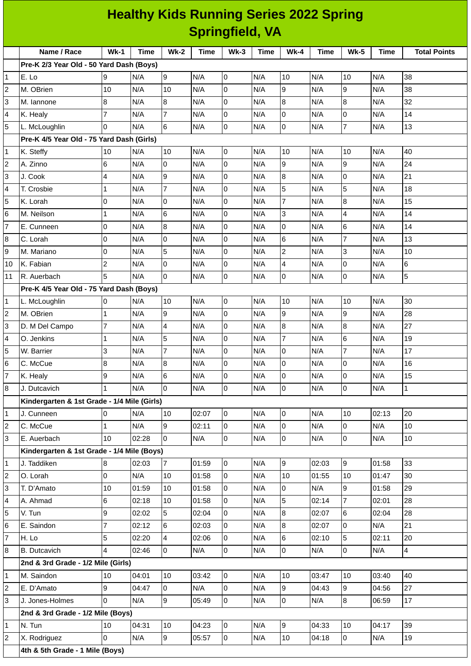|                        | <b>Healthy Kids Running Series 2022 Spring</b> |                |             |                |             |                |             |                |             |                |             |                     |
|------------------------|------------------------------------------------|----------------|-------------|----------------|-------------|----------------|-------------|----------------|-------------|----------------|-------------|---------------------|
| <b>Springfield, VA</b> |                                                |                |             |                |             |                |             |                |             |                |             |                     |
|                        | Name / Race                                    | $Wk-1$         | <b>Time</b> | <b>Wk-2</b>    | <b>Time</b> | $Wk-3$         | <b>Time</b> | $Wk-4$         | <b>Time</b> | $Wk-5$         | <b>Time</b> | <b>Total Points</b> |
|                        | Pre-K 2/3 Year Old - 50 Yard Dash (Boys)       |                |             |                |             |                |             |                |             |                |             |                     |
| 1                      | E. Lo                                          | 9              | N/A         | 9              | N/A         | 0              | N/A         | 10             | N/A         | 10             | N/A         | 38                  |
| 2                      | M. OBrien                                      | 10             | N/A         | 10             | N/A         | 0              | N/A         | l9             | N/A         | 9              | N/A         | 38                  |
| 3                      | M. lannone                                     | 8              | N/A         | 8              | N/A         | 0              | N/A         | 8              | N/A         | 8              | N/A         | 32                  |
| 4                      | K. Healy                                       | $\overline{7}$ | N/A         | $\overline{7}$ | N/A         | 0              | N/A         | I٥             | N/A         | 0              | N/A         | 14                  |
| 5                      | L. McLoughlin                                  | $\Omega$       | N/A         | 6              | N/A         | 0              | N/A         | Iо             | N/A         | $\overline{7}$ | N/A         | 13                  |
|                        | Pre-K 4/5 Year Old - 75 Yard Dash (Girls)      |                |             |                |             |                |             |                |             |                |             |                     |
| 1                      | K. Steffy                                      | 10             | N/A         | 10             | N/A         | 0              | N/A         | 10             | N/A         | 10             | N/A         | 40                  |
| $\overline{c}$         | A. Zinno                                       | 6              | N/A         | 0              | N/A         | 0              | N/A         | 9              | N/A         | 9              | N/A         | 24                  |
| 3                      | J. Cook                                        | 4              | N/A         | 9              | N/A         | 0              | N/A         | $\overline{8}$ | N/A         | 0              | N/A         | 21                  |
| 4                      | T. Crosbie                                     | $\mathbf{1}$   | N/A         | 7              | N/A         | 0              | N/A         | 5              | N/A         | 5              | N/A         | 18                  |
| 5                      | K. Lorah                                       | O              | N/A         | 0              | N/A         | 0              | N/A         | $\overline{7}$ | N/A         | 8              | N/A         | 15                  |
| 6                      | M. Neilson                                     | $\mathbf 1$    | N/A         | $6\phantom{.}$ | N/A         | 0              | N/A         | 3              | N/A         | 4              | N/A         | 14                  |
| $\overline{7}$         | E. Cunneen                                     | 0              | N/A         | $\bf{8}$       | N/A         | 0              | N/A         | 0              | N/A         | 6              | N/A         | 14                  |
| 8                      | C. Lorah                                       | O              | N/A         | 0              | N/A         | 0              | N/A         | 6              | N/A         | $\overline{7}$ | N/A         | 13                  |
| 9                      | M. Mariano                                     | O              | N/A         | 5              | N/A         | 0              | N/A         | $\overline{2}$ | N/A         | 3              | N/A         | 10                  |
| 10                     | K. Fabian                                      | $\overline{c}$ | N/A         | $\mathsf{O}$   | N/A         | 0              | N/A         | $\overline{4}$ | N/A         | 0              | N/A         | 6                   |
| 11                     | R. Auerbach                                    | 5              | N/A         | $\overline{0}$ | N/A         | 0              | N/A         | $\overline{0}$ | N/A         | 0              | N/A         | 5                   |
|                        | Pre-K 4/5 Year Old - 75 Yard Dash (Boys)       |                |             |                |             |                |             |                |             |                |             |                     |
| 1                      | L. McLoughlin                                  | 0              | N/A         | 10             | N/A         | 0              | N/A         | 10             | N/A         | 10             | N/A         | 30                  |
| 2                      | M. OBrien                                      | $\mathbf{1}$   | N/A         | 9              | N/A         | 0              | N/A         | 9              | N/A         | 9              | N/A         | 28                  |
| 3                      | D. M Del Campo                                 | 7              | N/A         | $\overline{4}$ | N/A         | 0              | N/A         | 8              | N/A         | 8              | N/A         | 27                  |
| 4                      | O. Jenkins                                     | $\mathbf{1}$   | N/A         | 5              | N/A         | 0              | N/A         | $\overline{7}$ | N/A         | 6              | N/A         | 19                  |
| 5                      | W. Barrier                                     | 3              | N/A         | $\overline{7}$ | N/A         | 0              | N/A         | $\overline{0}$ | N/A         | $\overline{7}$ | N/A         | 17                  |
| 6                      | C. McCue                                       | 8              | N/A         | 8              | N/A         | 0              | N/A         | 10             | N/A         | l0             | N/A         | 16                  |
| 7                      | K. Healy                                       | 9              | N/A         | 6              | N/A         | 0              | N/A         | 0              | N/A         | 0              | N/A         | 15                  |
| 8                      | J. Dutcavich                                   | $\mathbf{1}$   | N/A         | lo.            | N/A         | 0              | N/A         | l0             | N/A         | 0              | N/A         | $\overline{1}$      |
|                        | Kindergarten & 1st Grade - 1/4 Mile (Girls)    |                |             |                |             |                |             |                |             |                |             |                     |
| 1                      | J. Cunneen                                     | 0              | N/A         | 10             | 02:07       | $\overline{0}$ | N/A         | l0             | N/A         | 10             | 02:13       | 20                  |
| $\overline{c}$         | C. McCue                                       | $\mathbf{1}$   | N/A         | 9              | 02:11       | 0              | N/A         | l0             | N/A         | 0              | N/A         | 10                  |
| 3                      | E. Auerbach                                    | 10             | 02:28       | $\overline{0}$ | N/A         | $\overline{0}$ | N/A         | O              | N/A         | 0              | N/A         | 10                  |
|                        | Kindergarten & 1st Grade - 1/4 Mile (Boys)     |                |             |                |             |                |             |                |             |                |             |                     |
| $\mathbf{1}$           | J. Taddiken                                    | 8              | 02:03       | $\overline{7}$ | 01:59       | $\overline{0}$ | N/A         | 9              | 02:03       | 9              | 01:58       | 33                  |
| 2                      | O. Lorah                                       | $\overline{0}$ | N/A         | 10             | 01:58       | $\overline{0}$ | N/A         | 10             | 01:55       | 10             | 01:47       | 30                  |
| 3                      | T. D'Amato                                     | 10             | 01:59       | 10             | 01:58       | 0              | N/A         | O              | N/A         | 9              | 01:58       | 29                  |
| 4                      | A. Ahmad                                       | 6              | 02:18       | 10             | 01:58       | $\overline{0}$ | N/A         | 5              | 02:14       | $\overline{7}$ | 02:01       | 28                  |
| 5                      | V. Tun                                         | 9              | 02:02       | 5              | 02:04       | $\overline{0}$ | N/A         | $\overline{8}$ | 02:07       | 6              | 02:04       | 28                  |
| 6                      | E. Saindon                                     | $\overline{7}$ | 02:12       | 6              | 02:03       | 0              | N/A         | 8              | 02:07       | 0              | N/A         | 21                  |
| $\overline{7}$         | H. Lo                                          | 5              | 02:20       | 4              | 02:06       | $\overline{0}$ | N/A         | 6              | 02:10       | 5              | 02:11       | 20                  |
| 8                      | <b>B.</b> Dutcavich                            | 4              | 02:46       | $\overline{0}$ | N/A         | $\overline{0}$ | N/A         | lo             | N/A         | 0              | N/A         | $\overline{4}$      |
|                        | 2nd & 3rd Grade - 1/2 Mile (Girls)             |                |             |                |             |                |             |                |             |                |             |                     |
| 1                      | M. Saindon                                     | 10             | 04:01       | 10             | 03:42       | $\overline{0}$ | N/A         | 10             | 03:47       | 10             | 03:40       | 40                  |
| 2                      | E. D'Amato                                     | 9              | 04:47       | $\overline{0}$ | N/A         | 0              | N/A         | g              | 04:43       | 9              | 04:56       | 27                  |
| 3                      | J. Jones-Holmes                                | $\Omega$       | N/A         | 9              | 05:49       | $\overline{0}$ | N/A         | l0             | N/A         | 8              | 06:59       | 17                  |
|                        | 2nd & 3rd Grade - 1/2 Mile (Boys)              |                |             |                |             |                |             |                |             |                |             |                     |
| $\mathbf 1$            | N. Tun                                         | 10             | 04:31       | 10             | 04:23       | 0              | N/A         | 9              | 04:33       | 10             | 04:17       | 39                  |
| 2                      | X. Rodriguez                                   | l0             | N/A         | 9              | 05:57       | $\overline{0}$ | N/A         | 10             | 04:18       | $\overline{0}$ | N/A         | 19                  |
|                        | 4th & 5th Grade - 1 Mile (Boys)                |                |             |                |             |                |             |                |             |                |             |                     |